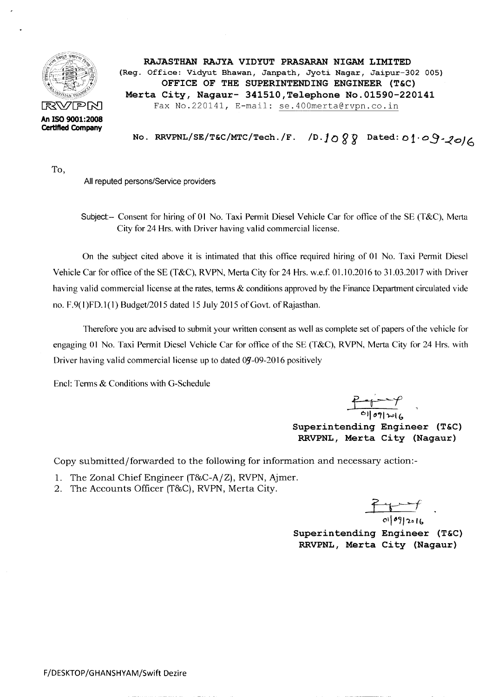

RAJASTHAN RAJYA VIDYUT PRASARAN NIGAM LIMITED (Reg. Office: Vidyut Bhawan, Janpath, Jyoti Nagar, Jaipur-302 005) OFFICE OF THE SUPERINTENDING ENGINEER (T&C) Merta City, Nagaur- 341510, Telephone No. 01590-220141  $R\&\text{PPN}$  Fax No.220141, E-mail: se.400merta@rvpn.co.in

No. RRVPNL/SE/T&C/MTC/Tech./F. /D.1088 Dated: 01.09.20/6

To,

All reputed persons/Service providers

Subject- Consent for hiring of 01 No. Taxi Permit Diesel Vehicle Car for office of the SE (T&C), Merta City for 24 Hrs. with Driver having valid commercial license.

On the subject cited above it is intimated that this office required hiring of 01 No. Taxi Permit Diesel Vehicle Car for office of the SE (T&C), RVPN, Merta City for 24 Hrs. w.e.f. 01.10.2016 to 31.03.2017 with Driver having valid commercial license at the rates, terms & conditions approved by the Finance Department circulated vide no. F.9(1)FD.1(1) Budget/2015 dated 15 July 2015 of Govt. of Rajasthan.

Therefore you are advised to submit your written consent as well as complete set of papers of the vehicle for engaging 01 No. Taxi Permit Diesel Vehicle Car for office of the SE (T&C), RVPN, Merta City for 24 Hrs. with Driver having valid commercial license up to dated  $0.9$ -09-2016 positively

Encl: Terms & Conditions with G-Schedule

 $\frac{p_{\text{ref}} - p_{\text{ref}}}{p_{\text{iter}}}}$  $~\cdot$ Superintending Engineer (T&C) RRVPNL, Merta City (Nagaur)

Copy submitted/forwarded to the following for information and necessary action:-

---------------------- ---------------- ---- - --- --------------------------------

- 1. The Zonal Chief Engineer (T&C-A/Z), RVPN, Ajmer.
- 2. The Accounts Officer (T&C), RVPN, Merta City.

b-'-'>-f 01/09/2016

Superintending Engineer (T&C) RRVPNL, Merta City (Nagaur)